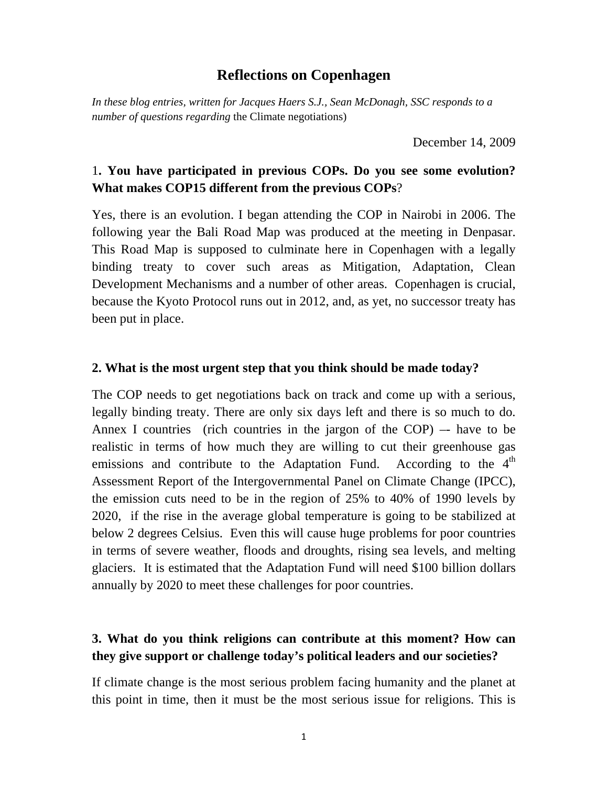### **Reflections on Copenhagen**

*In these blog entries, written for Jacques Haers S.J., Sean McDonagh, SSC responds to a number of questions regarding* the Climate negotiations)

December 14, 2009

## 1**. You have participated in previous COPs. Do you see some evolution? What makes COP15 different from the previous COPs**?

Yes, there is an evolution. I began attending the COP in Nairobi in 2006. The following year the Bali Road Map was produced at the meeting in Denpasar. This Road Map is supposed to culminate here in Copenhagen with a legally binding treaty to cover such areas as Mitigation, Adaptation, Clean Development Mechanisms and a number of other areas. Copenhagen is crucial, because the Kyoto Protocol runs out in 2012, and, as yet, no successor treaty has been put in place.

#### **2. What is the most urgent step that you think should be made today?**

The COP needs to get negotiations back on track and come up with a serious, legally binding treaty. There are only six days left and there is so much to do. Annex I countries (rich countries in the jargon of the COP)  $-$  have to be realistic in terms of how much they are willing to cut their greenhouse gas emissions and contribute to the Adaptation Fund. According to the  $4<sup>th</sup>$ Assessment Report of the Intergovernmental Panel on Climate Change (IPCC), the emission cuts need to be in the region of 25% to 40% of 1990 levels by 2020, if the rise in the average global temperature is going to be stabilized at below 2 degrees Celsius. Even this will cause huge problems for poor countries in terms of severe weather, floods and droughts, rising sea levels, and melting glaciers. It is estimated that the Adaptation Fund will need \$100 billion dollars annually by 2020 to meet these challenges for poor countries.

### **3. What do you think religions can contribute at this moment? How can they give support or challenge today's political leaders and our societies?**

If climate change is the most serious problem facing humanity and the planet at this point in time, then it must be the most serious issue for religions. This is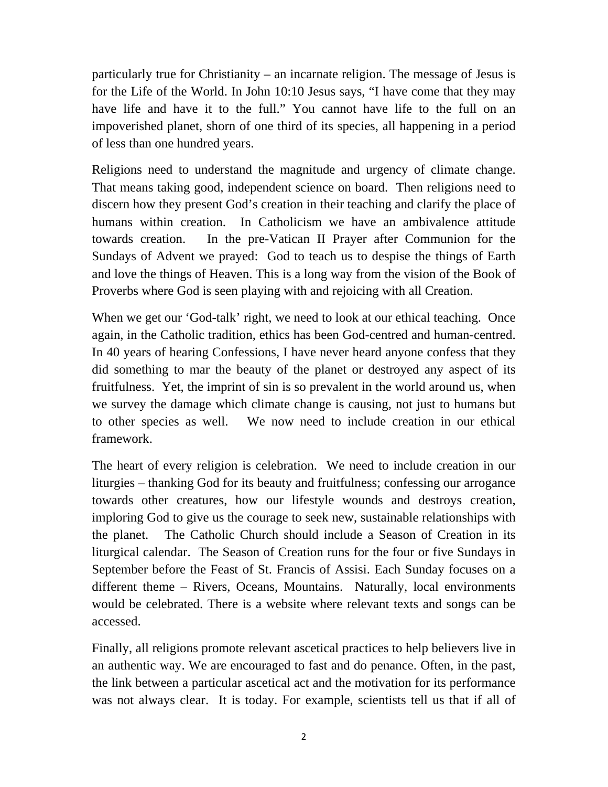particularly true for Christianity – an incarnate religion. The message of Jesus is for the Life of the World. In John 10:10 Jesus says, "I have come that they may have life and have it to the full." You cannot have life to the full on an impoverished planet, shorn of one third of its species, all happening in a period of less than one hundred years.

Religions need to understand the magnitude and urgency of climate change. That means taking good, independent science on board. Then religions need to discern how they present God's creation in their teaching and clarify the place of humans within creation. In Catholicism we have an ambivalence attitude towards creation. In the pre-Vatican II Prayer after Communion for the Sundays of Advent we prayed: God to teach us to despise the things of Earth and love the things of Heaven. This is a long way from the vision of the Book of Proverbs where God is seen playing with and rejoicing with all Creation.

When we get our 'God-talk' right, we need to look at our ethical teaching. Once again, in the Catholic tradition, ethics has been God-centred and human-centred. In 40 years of hearing Confessions, I have never heard anyone confess that they did something to mar the beauty of the planet or destroyed any aspect of its fruitfulness. Yet, the imprint of sin is so prevalent in the world around us, when we survey the damage which climate change is causing, not just to humans but to other species as well. We now need to include creation in our ethical framework.

The heart of every religion is celebration. We need to include creation in our liturgies – thanking God for its beauty and fruitfulness; confessing our arrogance towards other creatures, how our lifestyle wounds and destroys creation, imploring God to give us the courage to seek new, sustainable relationships with the planet. The Catholic Church should include a Season of Creation in its liturgical calendar. The Season of Creation runs for the four or five Sundays in September before the Feast of St. Francis of Assisi. Each Sunday focuses on a different theme – Rivers, Oceans, Mountains. Naturally, local environments would be celebrated. There is a website where relevant texts and songs can be accessed.

Finally, all religions promote relevant ascetical practices to help believers live in an authentic way. We are encouraged to fast and do penance. Often, in the past, the link between a particular ascetical act and the motivation for its performance was not always clear. It is today. For example, scientists tell us that if all of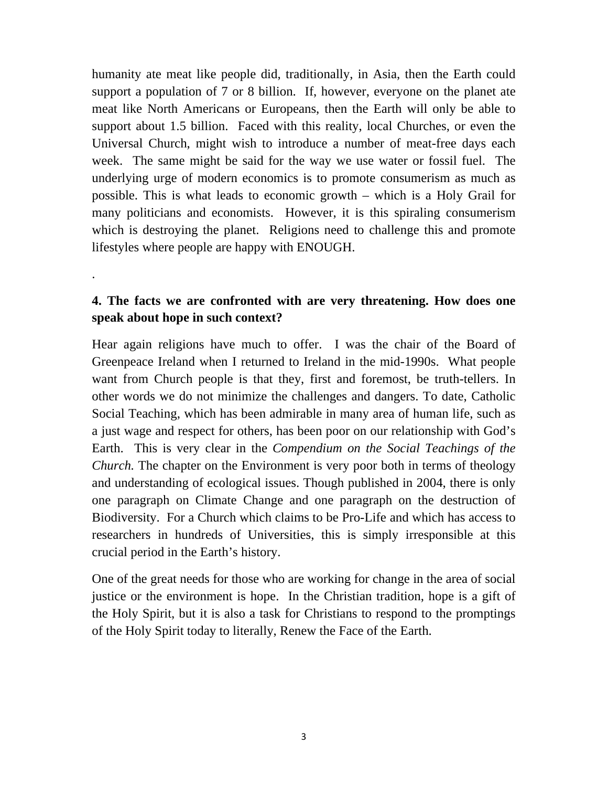humanity ate meat like people did, traditionally, in Asia, then the Earth could support a population of 7 or 8 billion. If, however, everyone on the planet ate meat like North Americans or Europeans, then the Earth will only be able to support about 1.5 billion. Faced with this reality, local Churches, or even the Universal Church, might wish to introduce a number of meat-free days each week. The same might be said for the way we use water or fossil fuel. The underlying urge of modern economics is to promote consumerism as much as possible. This is what leads to economic growth – which is a Holy Grail for many politicians and economists. However, it is this spiraling consumerism which is destroying the planet. Religions need to challenge this and promote lifestyles where people are happy with ENOUGH.

## **4. The facts we are confronted with are very threatening. How does one speak about hope in such context?**

.

Hear again religions have much to offer. I was the chair of the Board of Greenpeace Ireland when I returned to Ireland in the mid-1990s. What people want from Church people is that they, first and foremost, be truth-tellers. In other words we do not minimize the challenges and dangers. To date, Catholic Social Teaching, which has been admirable in many area of human life, such as a just wage and respect for others, has been poor on our relationship with God's Earth. This is very clear in the *Compendium on the Social Teachings of the Church*. The chapter on the Environment is very poor both in terms of theology and understanding of ecological issues. Though published in 2004, there is only one paragraph on Climate Change and one paragraph on the destruction of Biodiversity. For a Church which claims to be Pro-Life and which has access to researchers in hundreds of Universities, this is simply irresponsible at this crucial period in the Earth's history.

One of the great needs for those who are working for change in the area of social justice or the environment is hope. In the Christian tradition, hope is a gift of the Holy Spirit, but it is also a task for Christians to respond to the promptings of the Holy Spirit today to literally, Renew the Face of the Earth.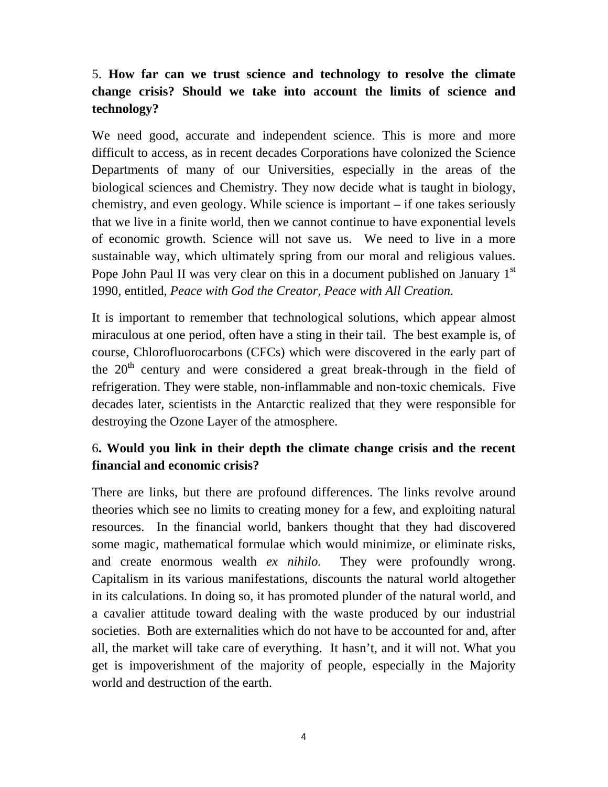# 5. **How far can we trust science and technology to resolve the climate change crisis? Should we take into account the limits of science and technology?**

We need good, accurate and independent science. This is more and more difficult to access, as in recent decades Corporations have colonized the Science Departments of many of our Universities, especially in the areas of the biological sciences and Chemistry. They now decide what is taught in biology, chemistry, and even geology. While science is important – if one takes seriously that we live in a finite world, then we cannot continue to have exponential levels of economic growth. Science will not save us. We need to live in a more sustainable way, which ultimately spring from our moral and religious values. Pope John Paul II was very clear on this in a document published on January 1<sup>st</sup> 1990, entitled, *Peace with God the Creator, Peace with All Creation.* 

It is important to remember that technological solutions, which appear almost miraculous at one period, often have a sting in their tail. The best example is, of course, Chlorofluorocarbons (CFCs) which were discovered in the early part of the  $20<sup>th</sup>$  century and were considered a great break-through in the field of refrigeration. They were stable, non-inflammable and non-toxic chemicals. Five decades later, scientists in the Antarctic realized that they were responsible for destroying the Ozone Layer of the atmosphere.

## 6**. Would you link in their depth the climate change crisis and the recent financial and economic crisis?**

There are links, but there are profound differences. The links revolve around theories which see no limits to creating money for a few, and exploiting natural resources. In the financial world, bankers thought that they had discovered some magic, mathematical formulae which would minimize, or eliminate risks, and create enormous wealth *ex nihilo.* They were profoundly wrong. Capitalism in its various manifestations, discounts the natural world altogether in its calculations. In doing so, it has promoted plunder of the natural world, and a cavalier attitude toward dealing with the waste produced by our industrial societies. Both are externalities which do not have to be accounted for and, after all, the market will take care of everything. It hasn't, and it will not. What you get is impoverishment of the majority of people, especially in the Majority world and destruction of the earth.